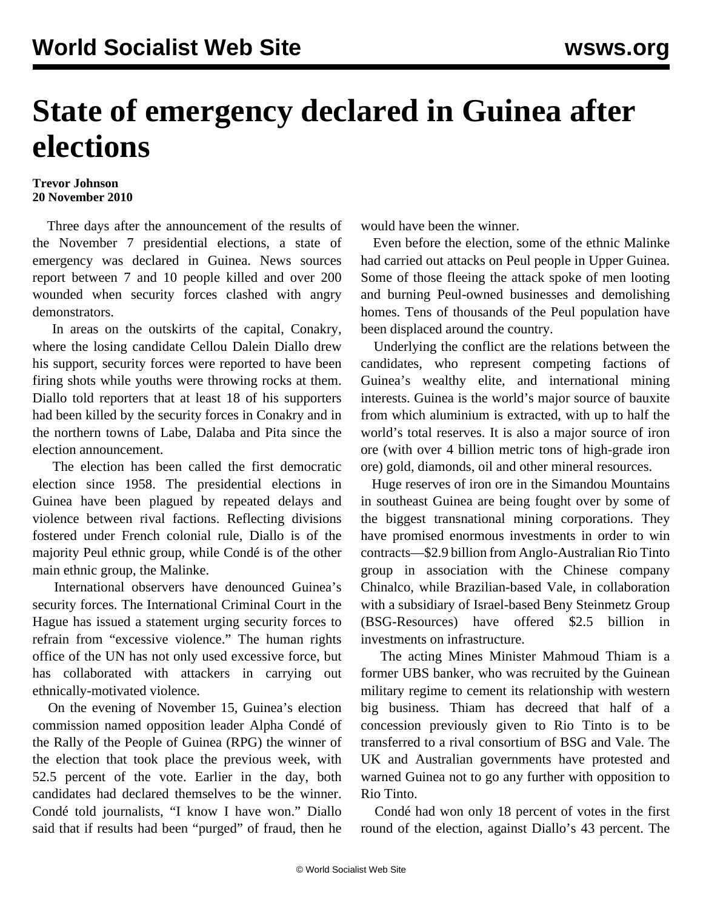## **State of emergency declared in Guinea after elections**

## **Trevor Johnson 20 November 2010**

 Three days after the announcement of the results of the November 7 presidential elections, a state of emergency was declared in Guinea. News sources report between 7 and 10 people killed and over 200 wounded when security forces clashed with angry demonstrators.

 In areas on the outskirts of the capital, Conakry, where the losing candidate Cellou Dalein Diallo drew his support, security forces were reported to have been firing shots while youths were throwing rocks at them. Diallo told reporters that at least 18 of his supporters had been killed by the security forces in Conakry and in the northern towns of Labe, Dalaba and Pita since the election announcement.

 The election has been called the first democratic election since 1958. The presidential elections in Guinea have been plagued by repeated delays and violence between rival factions. Reflecting divisions fostered under French colonial rule, Diallo is of the majority Peul ethnic group, while Condé is of the other main ethnic group, the Malinke.

 International observers have denounced Guinea's security forces. The International Criminal Court in the Hague has issued a statement urging security forces to refrain from "excessive violence." The human rights office of the UN has not only used excessive force, but has collaborated with attackers in carrying out ethnically-motivated violence.

 On the evening of November 15, Guinea's election commission named opposition leader Alpha Condé of the Rally of the People of Guinea (RPG) the winner of the election that took place the previous week, with 52.5 percent of the vote. Earlier in the day, both candidates had declared themselves to be the winner. Condé told journalists, "I know I have won." Diallo said that if results had been "purged" of fraud, then he would have been the winner.

 Even before the election, some of the ethnic Malinke had carried out attacks on Peul people in Upper Guinea. Some of those fleeing the attack spoke of men looting and burning Peul-owned businesses and demolishing homes. Tens of thousands of the Peul population have been displaced around the country.

 Underlying the conflict are the relations between the candidates, who represent competing factions of Guinea's wealthy elite, and international mining interests. Guinea is the world's major source of bauxite from which aluminium is extracted, with up to half the world's total reserves. It is also a major source of iron ore (with over 4 billion metric tons of high-grade iron ore) gold, diamonds, oil and other mineral resources.

 Huge reserves of iron ore in the Simandou Mountains in southeast Guinea are being fought over by some of the biggest transnational mining corporations. They have promised enormous investments in order to win contracts—\$2.9 billion from Anglo-Australian Rio Tinto group in association with the Chinese company Chinalco, while Brazilian-based Vale, in collaboration with a subsidiary of Israel-based Beny Steinmetz Group (BSG-Resources) have offered \$2.5 billion investments on infrastructure.

 The acting Mines Minister Mahmoud Thiam is a former UBS banker, who was recruited by the Guinean military regime to cement its relationship with western big business. Thiam has decreed that half of a concession previously given to Rio Tinto is to be transferred to a rival consortium of BSG and Vale. The UK and Australian governments have protested and warned Guinea not to go any further with opposition to Rio Tinto.

 Condé had won only 18 percent of votes in the first round of the election, against Diallo's 43 percent. The